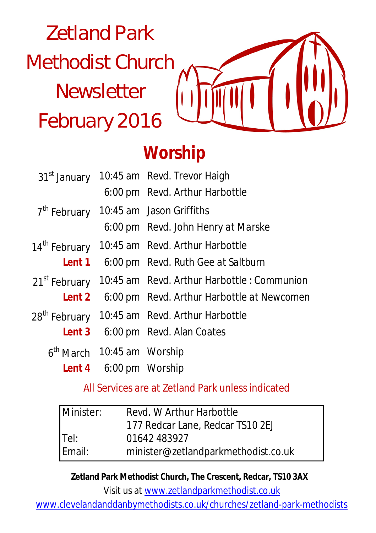# Zetland Park Methodist Church **Newsletter** February 2016

# **Worship**

| 31 <sup>st</sup> January     |                               | 10:45 am Revd. Trevor Haigh                      |
|------------------------------|-------------------------------|--------------------------------------------------|
|                              |                               | 6:00 pm Revd. Arthur Harbottle                   |
| 7 <sup>th</sup> February     |                               | 10:45 am Jason Griffiths                         |
|                              |                               | 6:00 pm Revd. John Henry at Marske               |
| 14 <sup>th</sup> February    |                               | 10:45 am Revd. Arthur Harbottle                  |
|                              |                               | <b>Lent 1</b> 6:00 pm Revd. Ruth Gee at Saltburn |
| 21 <sup>st</sup> February    |                               | 10:45 am Revd. Arthur Harbottle: Communion       |
| Lent 2                       |                               | 6:00 pm Revd. Arthur Harbottle at Newcomen       |
| 28 <sup>th</sup> February    |                               | 10:45 am Revd. Arthur Harbottle                  |
| Lent 3                       |                               | 6:00 pm Revd. Alan Coates                        |
| $6th$ March 10:45 am Worship |                               |                                                  |
|                              | <b>Lent 4</b> 6:00 pm Worship |                                                  |

All Services are at Zetland Park unless indicated

| Minister:      | Revd. W Arthur Harbottle            |  |
|----------------|-------------------------------------|--|
|                | 177 Redcar Lane, Redcar TS10 2EJ    |  |
| Tel:<br>Email: | 01642 483927                        |  |
|                | minister@zetlandparkmethodist.co.uk |  |

**Zetland Park Methodist Church, The Crescent, Redcar, TS10 3AX**

Visit us at www.zetlandparkmethodist.co.uk

www.clevelandanddanbymethodists.co.uk/churches/zetland-park-methodists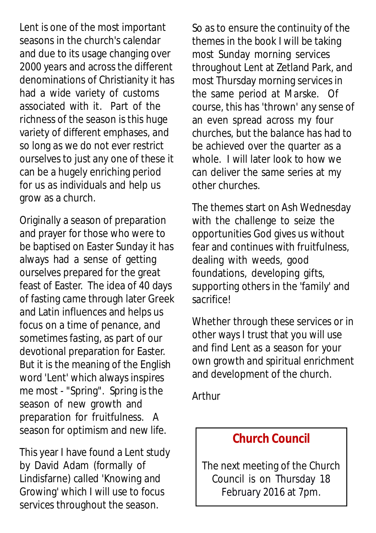Lent is one of the most important seasons in the church's calendar and due to its usage changing over 2000 years and across the different denominations of Christianity it has had a wide variety of customs associated with it. Part of the richness of the season is this huge variety of different emphases, and so long as we do not ever restrict ourselves to just any one of these it can be a hugely enriching period for us as individuals and help us grow as a church.

Originally a season of preparation and prayer for those who were to be baptised on Easter Sunday it has always had a sense of getting ourselves prepared for the great feast of Easter. The idea of 40 days of fasting came through later Greek and Latin influences and helps us focus on a time of penance, and sometimes fasting, as part of our devotional preparation for Easter. But it is the meaning of the English word 'Lent' which always inspires me most - "Spring". Spring is the season of new growth and preparation for fruitfulness. A season for optimism and new life.

This year I have found a Lent study by David Adam (formally of Lindisfarne) called 'Knowing and Growing' which I will use to focus services throughout the season.

So as to ensure the continuity of the themes in the book I will be taking most Sunday morning services throughout Lent at Zetland Park, and most Thursday morning services in the same period at Marske. Of course, this has 'thrown' any sense of an even spread across my four churches, but the balance has had to be achieved over the quarter as a whole. I will later look to how we can deliver the same series at my other churches.

The themes start on Ash Wednesday with the challenge to seize the opportunities God gives us without fear and continues with fruitfulness, dealing with weeds, good foundations, developing gifts, supporting others in the 'family' and sacrifice!

Whether through these services or in other ways I trust that you will use and find Lent as a season for your own growth and spiritual enrichment and development of the church.

Arthur

# **Church Council**

The next meeting of the Church Council is on Thursday 18 February 2016 at 7pm.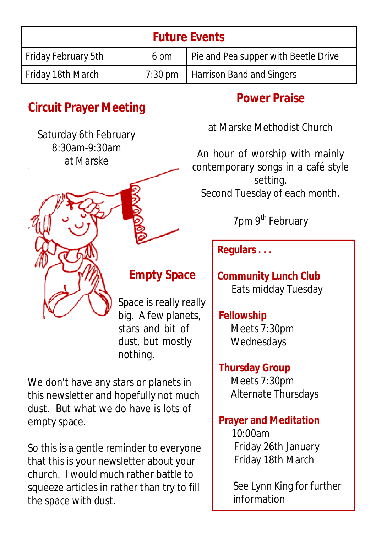| <b>Future Events</b> |      |                                      |  |  |
|----------------------|------|--------------------------------------|--|--|
| Friday February 5th  | 6 pm | Pie and Pea supper with Beetle Drive |  |  |
| Friday 18th March    |      | 7:30 pm   Harrison Band and Singers  |  |  |

# **Circuit Prayer Meeting**

Saturday 6th February 8:30am-9:30am at Marske



# **Empty Space**

Space is really really big. A few planets, stars and bit of dust, but mostly nothing.

We don't have any stars or planets in this newsletter and hopefully not much dust. But what we do have is lots of empty space.

So this is a gentle reminder to everyone that this is your newsletter about your church. I would much rather battle to squeeze articles in rather than try to fill the space with dust.

# **Power Praise**

at Marske Methodist Church

An hour of worship with mainly contemporary songs in a café style setting. Second Tuesday of each month.

7pm 9<sup>th</sup> February

**Regulars . . .**

**Community Lunch Club** Eats midday Tuesday

**Fellowship** Meets 7:30pm Wednesdays

**Thursday Group** Meets 7:30pm Alternate Thursdays

#### **Prayer and Meditation**

 $10:00$ am Friday 26th January Friday 18th March

See Lynn King for further information